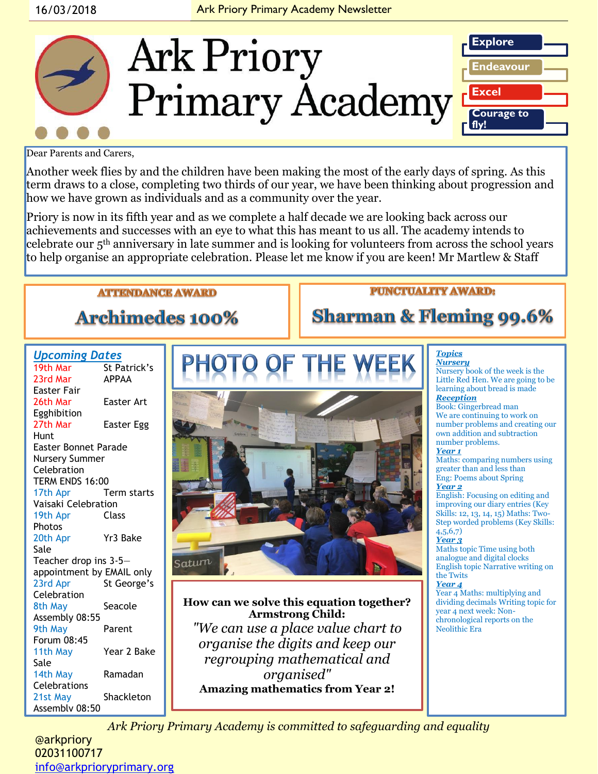

Dear Parents and Carers,

Another week flies by and the children have been making the most of the early days of spring. As this term draws to a close, completing two thirds of our year, we have been thinking about progression and how we have grown as individuals and as a community over the year.

Priory is now in its fifth year and as we complete a half decade we are looking back across our achievements and successes with an eye to what this has meant to us all. The academy intends to celebrate our 5th anniversary in late summer and is looking for volunteers from across the school years to help organise an appropriate celebration. Please let me know if you are keen! Mr Martlew & Staff

# **ATTENDANCE AWARD**

**Archimedes 100%** 

Saturn

# **PUNCTUALITY AWARD:**

**Sharman & Fleming 99.6%** 

### *Upcoming Dates*

| 19th Mar                    | St Patrick's |
|-----------------------------|--------------|
| 23rd Mar                    | <b>APPAA</b> |
| Easter Fair                 |              |
| 26th Mar                    | Easter Art   |
| Egghibition                 |              |
| 27th Mar                    | Easter Egg   |
| Hunt                        |              |
| <b>Easter Bonnet Parade</b> |              |
| <b>Nursery Summer</b>       |              |
| Celebration                 |              |
| TERM ENDS 16:00             |              |
| 17th Apr                    | Term starts  |
| Vaisaki Celebration         |              |
| 19th Apr                    | Class        |
| Photos                      |              |
| 20th Apr                    | Yr3 Bake     |
| Sale                        |              |
| Teacher drop ins 3-5-       |              |
| appointment by EMAIL only   |              |
| 23rd Apr                    | St George's  |
| Celebration                 |              |
| 8th May                     | Seacole      |
| Assembly 08:55              |              |
| 9th May                     | Parent       |
| Forum 08:45                 |              |
| 11th May                    | Year 2 Bake  |
| Sale                        |              |
| 14th May                    | Ramadan      |
| <b>Celebrations</b>         |              |
| 21st May                    | Shackleton   |
| Assembly 08:50              |              |

**How can we solve this equation together? Armstrong Child:**  *"We can use a place value chart to organise the digits and keep our regrouping mathematical and organised"*  **Amazing mathematics from Year 2!**

#### *Topics*

*Nursery* Nursery book of the week is the Little Red Hen. We are going to be learning about bread is made *Reception*  Book: Gingerbread man We are continuing to work on number problems and creating our own addition and subtraction number problems. *Year 1* Maths: comparing numbers using greater than and less than Eng: Poems about Spring *Year 2* English: Focusing on editing and improving our diary entries (Key Skills: 12, 13, 14, 15) Maths: Two-Step worded problems (Key Skills:  $4,5,6,7$ *Year 3* Maths topic Time using both analogue and digital clocks English topic Narrative writing on

#### the Twits *Year 4*

Year 4 Maths: multiplying and dividing decimals Writing topic for year 4 next week: Nonchronological reports on the Neolithic Era

*Ark Priory Primary Academy is committed to safeguarding and equality* 

@arkpriory 02031100717 [info@arkprioryprimary.org](mailto:info@arkprioryprimary.org)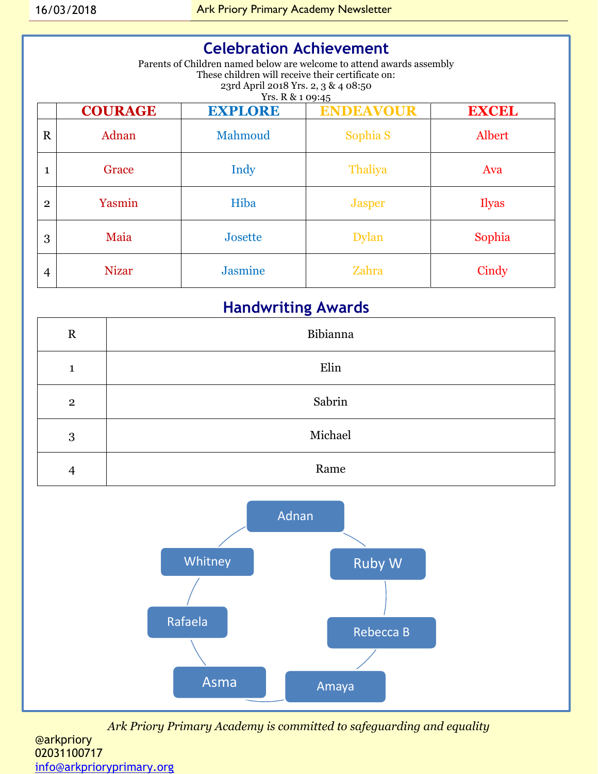# **Celebration Achievement**

Parents of Children named below are welcome to attend awards assembly These children will receive their certificate on: 23rd April 2018 Yrs. 2, 3 & 4 08:50 Yrs. R & 1 09:45

|                | <b>COURAGE</b> | <b>EXPLORE</b> | <b>ENDEAVOUR</b>    | <b>EXCEL</b> |
|----------------|----------------|----------------|---------------------|--------------|
| $\mathbf R$    | Adnan          | Mahmoud        | Sophia <sub>S</sub> | Albert       |
| $\mathbf{1}$   | Grace          | Indy           | Thaliya             | Ava          |
| $\overline{2}$ | Yasmin         | Hiba           | <b>Jasper</b>       | Ilyas        |
| 3              | Maia           | Josette        | <b>Dylan</b>        | Sophia       |
| 4              | <b>Nizar</b>   | <b>Jasmine</b> | Zahra               | Cindy        |

# **Handwriting Awards**

| $\mathbf R$    | Bibianna |
|----------------|----------|
| 1              | Elin     |
| $\overline{2}$ | Sabrin   |
| 3              | Michael  |
| $\overline{4}$ | Rame     |



*Ark Priory Primary Academy is committed to safeguarding and equality*  @arkpriory 02031100717 [info@arkprioryprimary.org](mailto:info@arkprioryprimary.org)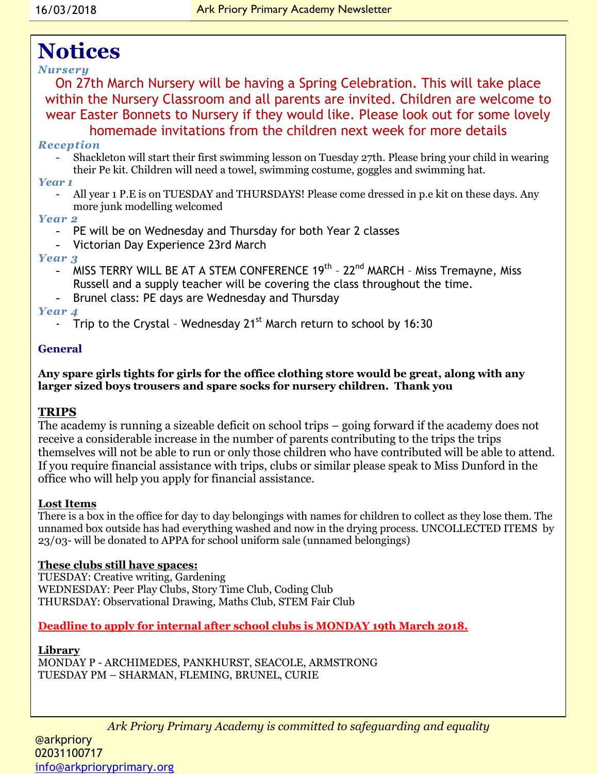# **Notices**

### *Nursery*

On 27th March Nursery will be having a Spring Celebration. This will take place within the Nursery Classroom and all parents are invited. Children are welcome to wear Easter Bonnets to Nursery if they would like. Please look out for some lovely homemade invitations from the children next week for more details

#### *Reception*

- Shackleton will start their first swimming lesson on Tuesday 27th. Please bring your child in wearing their Pe kit. Children will need a towel, swimming costume, goggles and swimming hat.

#### *Year 1*

All year 1 P.E is on TUESDAY and THURSDAYS! Please come dressed in p.e kit on these days. Any more junk modelling welcomed

#### *Year 2*

- PE will be on Wednesday and Thursday for both Year 2 classes
- Victorian Day Experience 23rd March

#### *Year 3*

- MISS TERRY WILL BE AT A STEM CONFERENCE 19<sup>th</sup> 22<sup>nd</sup> MARCH Miss Tremayne, Miss Russell and a supply teacher will be covering the class throughout the time.
- Brunel class: PE days are Wednesday and Thursday

### *Year 4*

Trip to the Crystal - Wednesday  $21^{st}$  March return to school by 16:30

### **General**

**Any spare girls tights for girls for the office clothing store would be great, along with any larger sized boys trousers and spare socks for nursery children. Thank you** 

#### **TRIPS**

The academy is running a sizeable deficit on school trips – going forward if the academy does not receive a considerable increase in the number of parents contributing to the trips the trips themselves will not be able to run or only those children who have contributed will be able to attend. If you require financial assistance with trips, clubs or similar please speak to Miss Dunford in the office who will help you apply for financial assistance.

#### **Lost Items**

There is a box in the office for day to day belongings with names for children to collect as they lose them. The unnamed box outside has had everything washed and now in the drying process. UNCOLLECTED ITEMS by 23/03- will be donated to APPA for school uniform sale (unnamed belongings)

#### **These clubs still have spaces:**

TUESDAY: Creative writing, Gardening WEDNESDAY: Peer Play Clubs, Story Time Club, Coding Club THURSDAY: Observational Drawing, Maths Club, STEM Fair Club

### **Deadline to apply for internal after school clubs is MONDAY 19th March 2018.**

#### **Library**

MONDAY P - ARCHIMEDES, PANKHURST, SEACOLE, ARMSTRONG TUESDAY PM – SHARMAN, FLEMING, BRUNEL, CURIE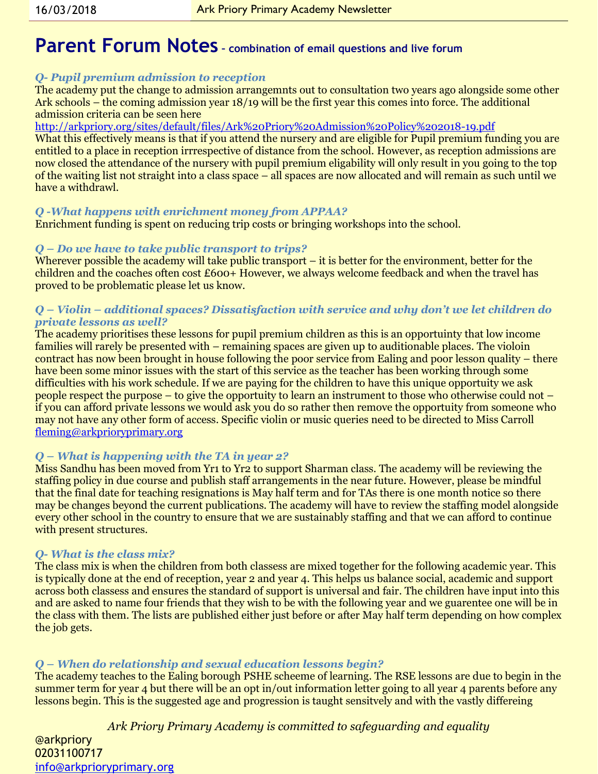# **Parent Forum Notes – combination of email questions and live forum**

#### *Q- Pupil premium admission to reception*

The academy put the change to admission arrangemnts out to consultation two years ago alongside some other Ark schools – the coming admission year 18/19 will be the first year this comes into force. The additional admission criteria can be seen here

<http://arkpriory.org/sites/default/files/Ark%20Priory%20Admission%20Policy%202018-19.pdf>

What this effectively means is that if you attend the nursery and are eligible for Pupil premium funding you are entitled to a place in reception irrrespective of distance from the school. However, as reception admissions are now closed the attendance of the nursery with pupil premium eligability will only result in you going to the top of the waiting list not straight into a class space – all spaces are now allocated and will remain as such until we have a withdrawl.

#### *Q -What happens with enrichment money from APPAA?*

Enrichment funding is spent on reducing trip costs or bringing workshops into the school.

#### *Q – Do we have to take public transport to trips?*

Wherever possible the academy will take public transport – it is better for the environment, better for the children and the coaches often cost £600+ However, we always welcome feedback and when the travel has proved to be problematic please let us know.

#### *Q – Violin – additional spaces? Dissatisfaction with service and why don't we let children do private lessons as well?*

The academy prioritises these lessons for pupil premium children as this is an opportuinty that low income families will rarely be presented with – remaining spaces are given up to auditionable places. The violoin contract has now been brought in house following the poor service from Ealing and poor lesson quality – there have been some minor issues with the start of this service as the teacher has been working through some difficulties with his work schedule. If we are paying for the children to have this unique opportuity we ask people respect the purpose – to give the opportuity to learn an instrument to those who otherwise could not – if you can afford private lessons we would ask you do so rather then remove the opportuity from someone who may not have any other form of access. Specific violin or music queries need to be directed to Miss Carroll [fleming@arkprioryprimary.org](mailto:fleming@arkprioryprimary.org)

#### *Q – What is happening with the TA in year 2?*

Miss Sandhu has been moved from Yr1 to Yr2 to support Sharman class. The academy will be reviewing the staffing policy in due course and publish staff arrangements in the near future. However, please be mindful that the final date for teaching resignations is May half term and for TAs there is one month notice so there may be changes beyond the current publications. The academy will have to review the staffing model alongside every other school in the country to ensure that we are sustainably staffing and that we can afford to continue with present structures.

#### *Q- What is the class mix?*

The class mix is when the children from both classess are mixed together for the following academic year. This is typically done at the end of reception, year 2 and year 4. This helps us balance social, academic and support across both classess and ensures the standard of support is universal and fair. The children have input into this and are asked to name four friends that they wish to be with the following year and we guarentee one will be in the class with them. The lists are published either just before or after May half term depending on how complex the job gets.

#### *Q – When do relationship and sexual education lessons begin?*

The academy teaches to the Ealing borough PSHE scheeme of learning. The RSE lessons are due to begin in the summer term for year 4 but there will be an opt in/out information letter going to all year 4 parents before any lessons begin. This is the suggested age and progression is taught sensitvely and with the vastly differeing

*Ark Priory Primary Academy is committed to safeguarding and equality* 

@arkpriory 02031100717 [info@arkprioryprimary.org](mailto:info@arkprioryprimary.org)